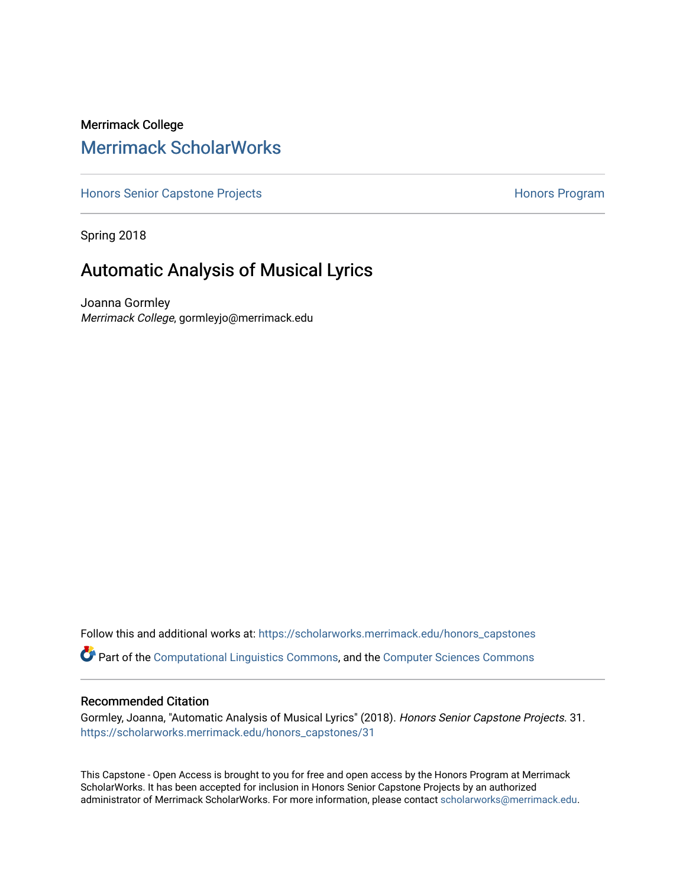## Merrimack College [Merrimack ScholarWorks](https://scholarworks.merrimack.edu/)

[Honors Senior Capstone Projects](https://scholarworks.merrimack.edu/honors_capstones) **Honors Program** Honors Program

Spring 2018

# Automatic Analysis of Musical Lyrics

Joanna Gormley Merrimack College, gormleyjo@merrimack.edu

Follow this and additional works at: [https://scholarworks.merrimack.edu/honors\\_capstones](https://scholarworks.merrimack.edu/honors_capstones?utm_source=scholarworks.merrimack.edu%2Fhonors_capstones%2F31&utm_medium=PDF&utm_campaign=PDFCoverPages)

Part of the [Computational Linguistics Commons](http://network.bepress.com/hgg/discipline/375?utm_source=scholarworks.merrimack.edu%2Fhonors_capstones%2F31&utm_medium=PDF&utm_campaign=PDFCoverPages), and the [Computer Sciences Commons](http://network.bepress.com/hgg/discipline/142?utm_source=scholarworks.merrimack.edu%2Fhonors_capstones%2F31&utm_medium=PDF&utm_campaign=PDFCoverPages)

#### Recommended Citation

Gormley, Joanna, "Automatic Analysis of Musical Lyrics" (2018). Honors Senior Capstone Projects. 31. [https://scholarworks.merrimack.edu/honors\\_capstones/31](https://scholarworks.merrimack.edu/honors_capstones/31?utm_source=scholarworks.merrimack.edu%2Fhonors_capstones%2F31&utm_medium=PDF&utm_campaign=PDFCoverPages) 

This Capstone - Open Access is brought to you for free and open access by the Honors Program at Merrimack ScholarWorks. It has been accepted for inclusion in Honors Senior Capstone Projects by an authorized administrator of Merrimack ScholarWorks. For more information, please contact [scholarworks@merrimack.edu](mailto:scholarworks@merrimack.edu).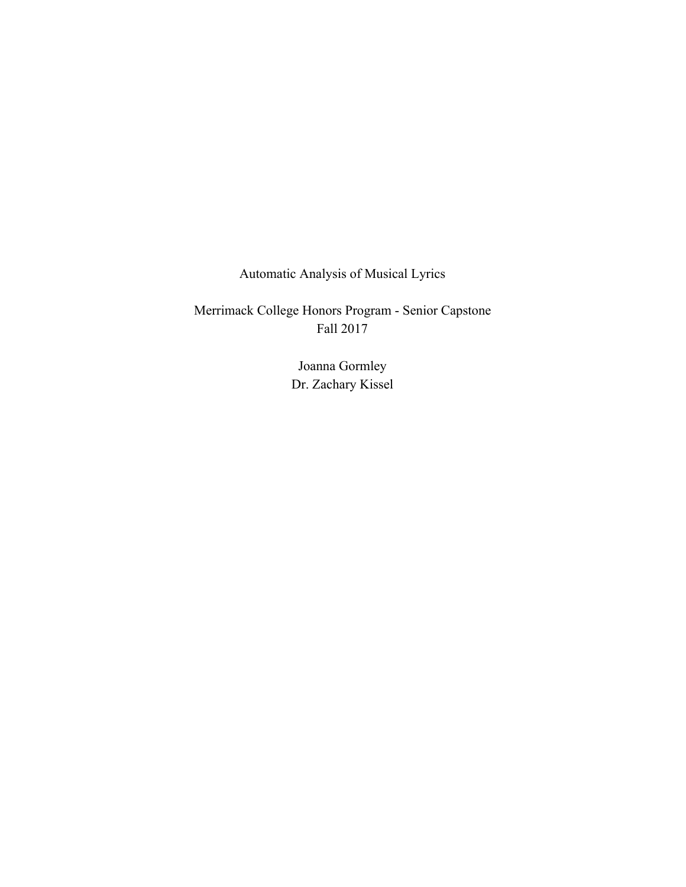Automatic Analysis of Musical Lyrics

Merrimack College Honors Program - Senior Capstone Fall 2017

> Joanna Gormley Dr. Zachary Kissel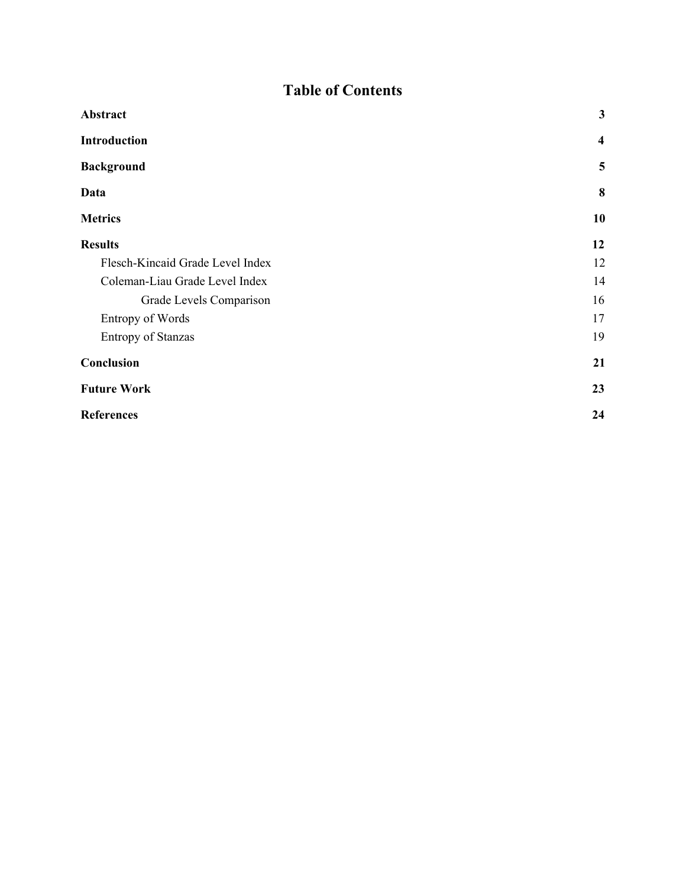# **Table of Contents**

| Abstract                         | $\mathbf{3}$ |
|----------------------------------|--------------|
| <b>Introduction</b>              | 4            |
| <b>Background</b>                | 5            |
| Data                             | 8            |
| <b>Metrics</b>                   | 10           |
| <b>Results</b>                   | 12           |
| Flesch-Kincaid Grade Level Index | 12           |
| Coleman-Liau Grade Level Index   | 14           |
| Grade Levels Comparison          | 16           |
| <b>Entropy of Words</b>          | 17           |
| <b>Entropy of Stanzas</b>        | 19           |
| Conclusion                       | 21           |
| <b>Future Work</b>               | 23           |
| <b>References</b>                | 24           |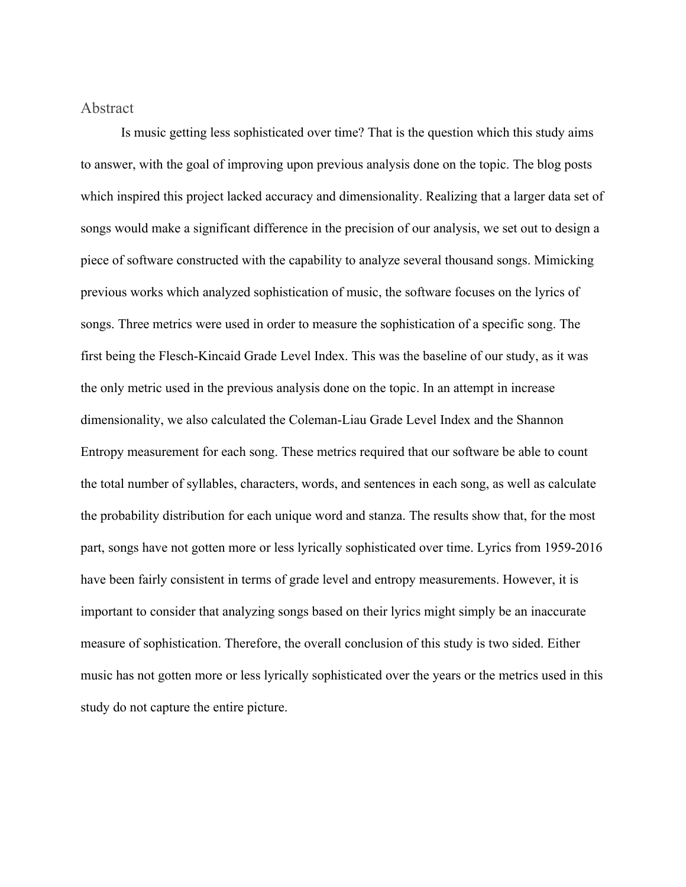### <span id="page-3-0"></span>Abstract

Is music getting less sophisticated over time? That is the question which this study aims to answer, with the goal of improving upon previous analysis done on the topic. The blog posts which inspired this project lacked accuracy and dimensionality. Realizing that a larger data set of songs would make a significant difference in the precision of our analysis, we set out to design a piece of software constructed with the capability to analyze several thousand songs. Mimicking previous works which analyzed sophistication of music, the software focuses on the lyrics of songs. Three metrics were used in order to measure the sophistication of a specific song. The first being the Flesch-Kincaid Grade Level Index. This was the baseline of our study, as it was the only metric used in the previous analysis done on the topic. In an attempt in increase dimensionality, we also calculated the Coleman-Liau Grade Level Index and the Shannon Entropy measurement for each song. These metrics required that our software be able to count the total number of syllables, characters, words, and sentences in each song, as well as calculate the probability distribution for each unique word and stanza. The results show that, for the most part, songs have not gotten more or less lyrically sophisticated over time. Lyrics from 1959-2016 have been fairly consistent in terms of grade level and entropy measurements. However, it is important to consider that analyzing songs based on their lyrics might simply be an inaccurate measure of sophistication. Therefore, the overall conclusion of this study is two sided. Either music has not gotten more or less lyrically sophisticated over the years or the metrics used in this study do not capture the entire picture.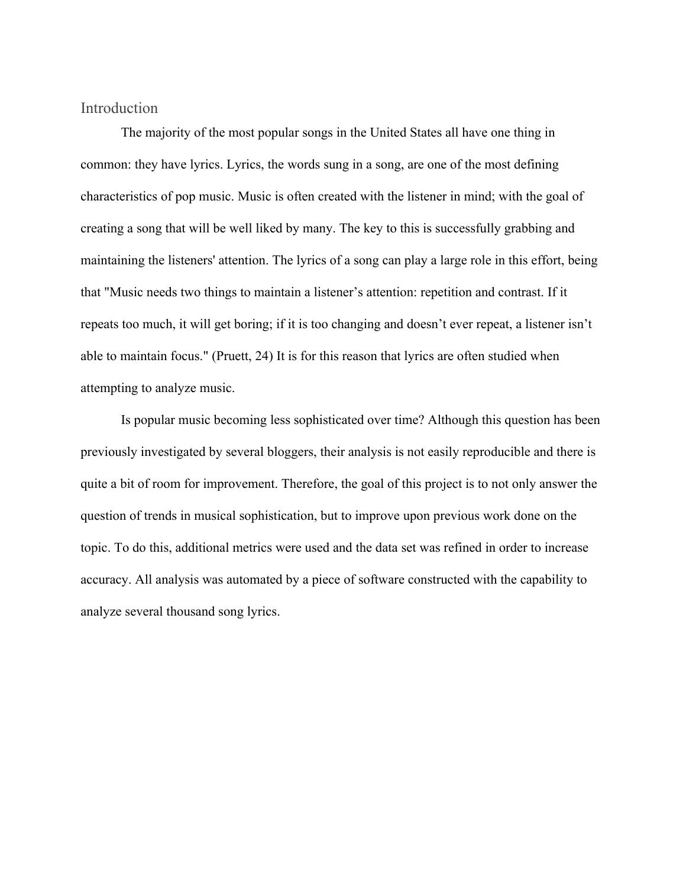<span id="page-4-0"></span>Introduction

The majority of the most popular songs in the United States all have one thing in common: they have lyrics. Lyrics, the words sung in a song, are one of the most defining characteristics of pop music. Music is often created with the listener in mind; with the goal of creating a song that will be well liked by many. The key to this is successfully grabbing and maintaining the listeners' attention. The lyrics of a song can play a large role in this effort, being that "Music needs two things to maintain a listener's attention: repetition and contrast. If it repeats too much, it will get boring; if it is too changing and doesn't ever repeat, a listener isn't able to maintain focus." (Pruett, 24) It is for this reason that lyrics are often studied when attempting to analyze music.

Is popular music becoming less sophisticated over time? Although this question has been previously investigated by several bloggers, their analysis is not easily reproducible and there is quite a bit of room for improvement. Therefore, the goal of this project is to not only answer the question of trends in musical sophistication, but to improve upon previous work done on the topic. To do this, additional metrics were used and the data set was refined in order to increase accuracy. All analysis was automated by a piece of software constructed with the capability to analyze several thousand song lyrics.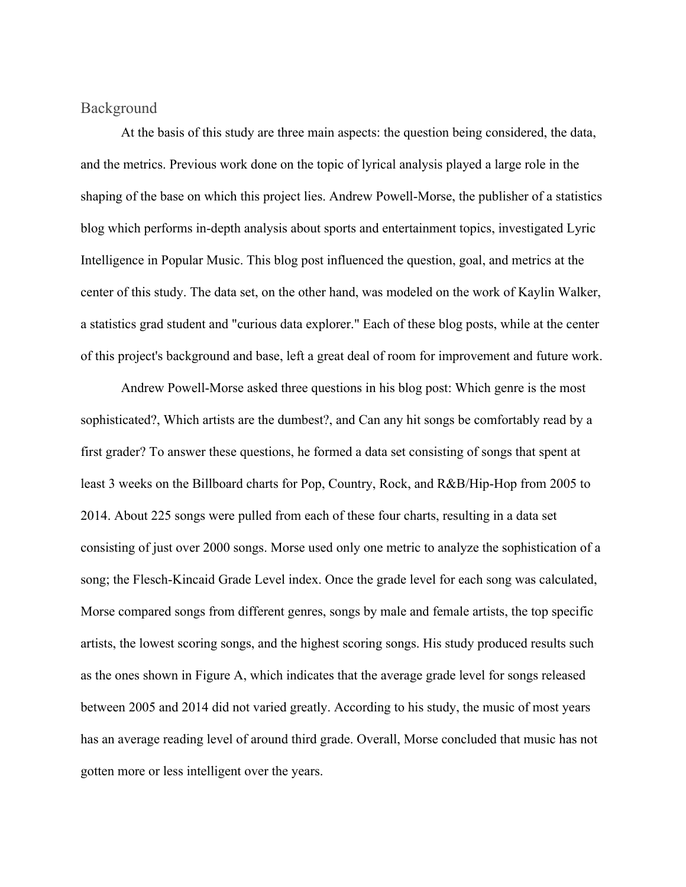### <span id="page-5-0"></span>Background

At the basis of this study are three main aspects: the question being considered, the data, and the metrics. Previous work done on the topic of lyrical analysis played a large role in the shaping of the base on which this project lies. Andrew Powell-Morse, the publisher of a statistics blog which performs in-depth analysis about sports and entertainment topics, investigated Lyric Intelligence in Popular Music. This blog post influenced the question, goal, and metrics at the center of this study. The data set, on the other hand, was modeled on the work of Kaylin Walker, a statistics grad student and "curious data explorer." Each of these blog posts, while at the center of this project's background and base, left a great deal of room for improvement and future work.

Andrew Powell-Morse asked three questions in his blog post: Which genre is the most sophisticated?, Which artists are the dumbest?, and Can any hit songs be comfortably read by a first grader? To answer these questions, he formed a data set consisting of songs that spent at least 3 weeks on the Billboard charts for Pop, Country, Rock, and R&B/Hip-Hop from 2005 to 2014. About 225 songs were pulled from each of these four charts, resulting in a data set consisting of just over 2000 songs. Morse used only one metric to analyze the sophistication of a song; the Flesch-Kincaid Grade Level index. Once the grade level for each song was calculated, Morse compared songs from different genres, songs by male and female artists, the top specific artists, the lowest scoring songs, and the highest scoring songs. His study produced results such as the ones shown in Figure A, which indicates that the average grade level for songs released between 2005 and 2014 did not varied greatly. According to his study, the music of most years has an average reading level of around third grade. Overall, Morse concluded that music has not gotten more or less intelligent over the years.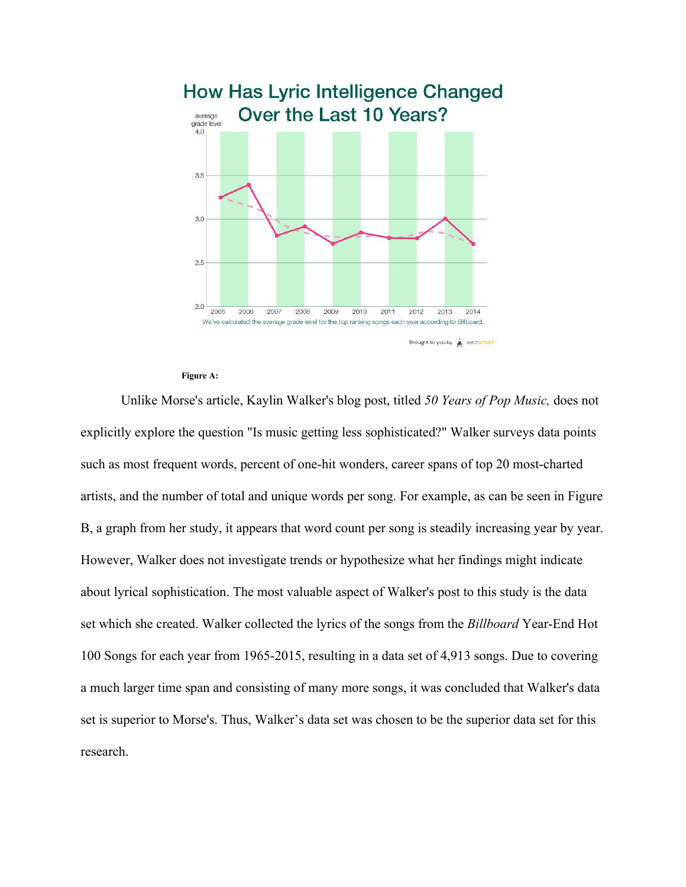

#### **Figure A:**

Unlike Morse's article, Kaylin Walker's blog post, titled *50 Years of Pop Music,* does not explicitly explore the question "Is music getting less sophisticated?" Walker surveys data points such as most frequent words, percent of one-hit wonders, career spans of top 20 most-charted artists, and the number of total and unique words per song. For example, as can be seen in Figure B, a graph from her study, it appears that word count per song is steadily increasing year by year. However, Walker does not investigate trends or hypothesize what her findings might indicate about lyrical sophistication. The most valuable aspect of Walker's post to this study is the data set which she created. Walker collected the lyrics of the songs from the *Billboard* Year-End Hot 100 Songs for each year from 1965-2015, resulting in a data set of 4,913 songs. Due to covering a much larger time span and consisting of many more songs, it was concluded that Walker's data set is superior to Morse's. Thus, Walker's data set was chosen to be the superior data set for this research.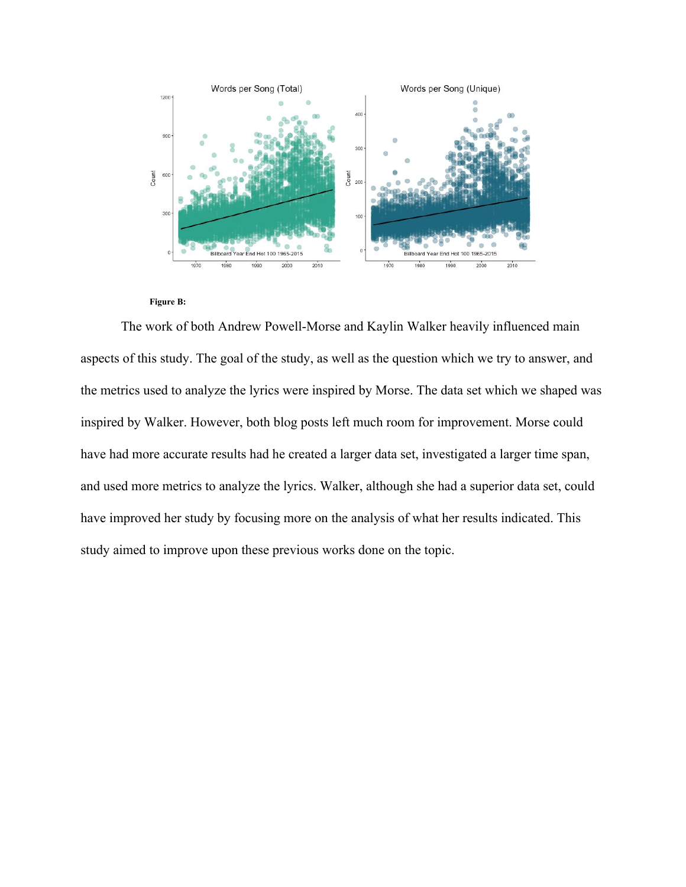

#### **Figure B:**

The work of both Andrew Powell-Morse and Kaylin Walker heavily influenced main aspects of this study. The goal of the study, as well as the question which we try to answer, and the metrics used to analyze the lyrics were inspired by Morse. The data set which we shaped was inspired by Walker. However, both blog posts left much room for improvement. Morse could have had more accurate results had he created a larger data set, investigated a larger time span, and used more metrics to analyze the lyrics. Walker, although she had a superior data set, could have improved her study by focusing more on the analysis of what her results indicated. This study aimed to improve upon these previous works done on the topic.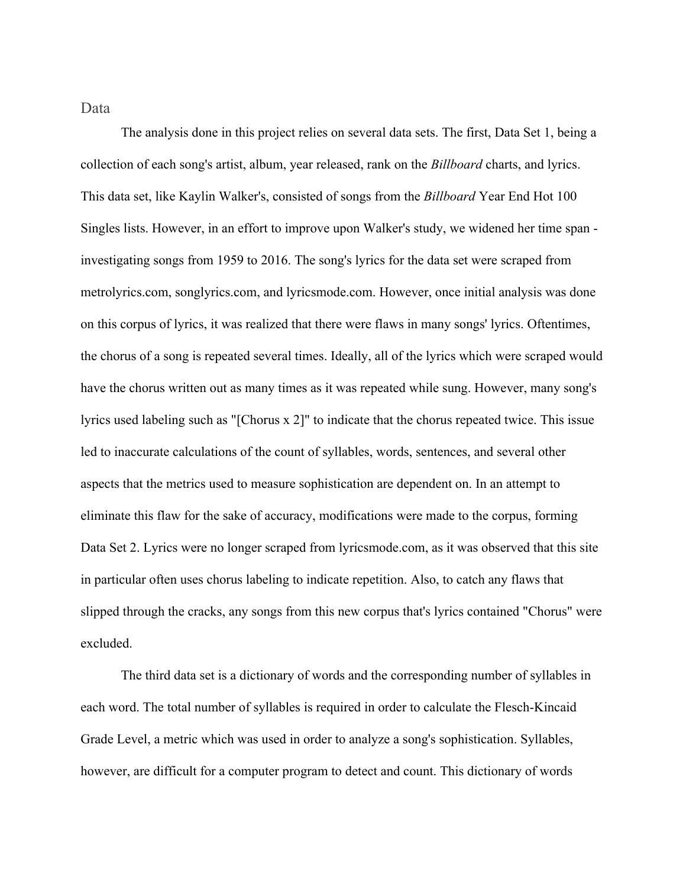<span id="page-8-0"></span>Data

The analysis done in this project relies on several data sets. The first, Data Set 1, being a collection of each song's artist, album, year released, rank on the *Billboard* charts, and lyrics. This data set, like Kaylin Walker's, consisted of songs from the *Billboard* Year End Hot 100 Singles lists. However, in an effort to improve upon Walker's study, we widened her time span investigating songs from 1959 to 2016. The song's lyrics for the data set were scraped from metrolyrics.com, songlyrics.com, and lyricsmode.com. However, once initial analysis was done on this corpus of lyrics, it was realized that there were flaws in many songs' lyrics. Oftentimes, the chorus of a song is repeated several times. Ideally, all of the lyrics which were scraped would have the chorus written out as many times as it was repeated while sung. However, many song's lyrics used labeling such as "[Chorus x 2]" to indicate that the chorus repeated twice. This issue led to inaccurate calculations of the count of syllables, words, sentences, and several other aspects that the metrics used to measure sophistication are dependent on. In an attempt to eliminate this flaw for the sake of accuracy, modifications were made to the corpus, forming Data Set 2. Lyrics were no longer scraped from lyricsmode.com, as it was observed that this site in particular often uses chorus labeling to indicate repetition. Also, to catch any flaws that slipped through the cracks, any songs from this new corpus that's lyrics contained "Chorus" were excluded.

The third data set is a dictionary of words and the corresponding number of syllables in each word. The total number of syllables is required in order to calculate the Flesch-Kincaid Grade Level, a metric which was used in order to analyze a song's sophistication. Syllables, however, are difficult for a computer program to detect and count. This dictionary of words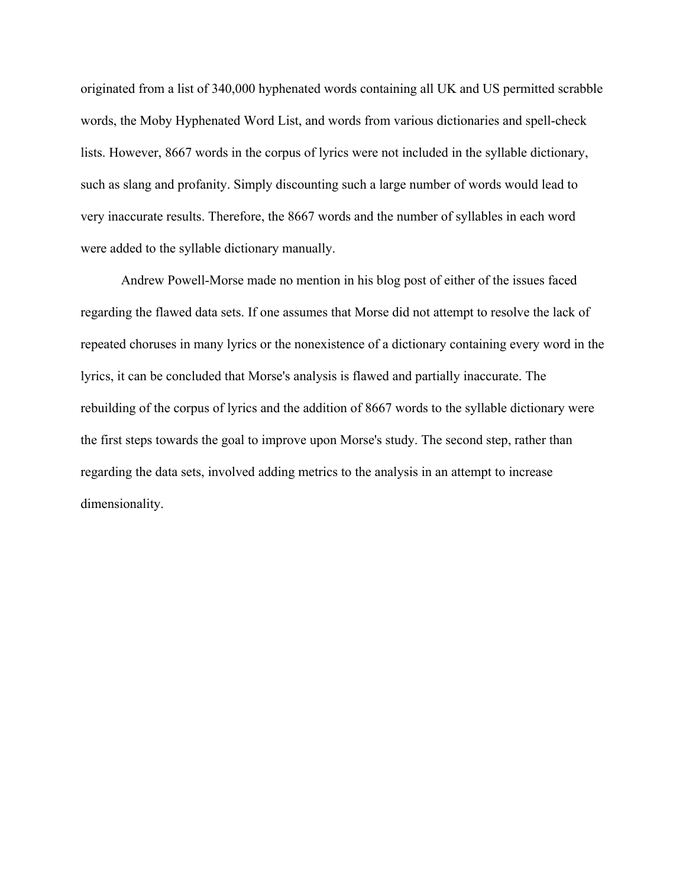originated from a list of 340,000 hyphenated words containing all UK and US permitted scrabble words, the Moby Hyphenated Word List, and words from various dictionaries and spell-check lists. However, 8667 words in the corpus of lyrics were not included in the syllable dictionary, such as slang and profanity. Simply discounting such a large number of words would lead to very inaccurate results. Therefore, the 8667 words and the number of syllables in each word were added to the syllable dictionary manually.

Andrew Powell-Morse made no mention in his blog post of either of the issues faced regarding the flawed data sets. If one assumes that Morse did not attempt to resolve the lack of repeated choruses in many lyrics or the nonexistence of a dictionary containing every word in the lyrics, it can be concluded that Morse's analysis is flawed and partially inaccurate. The rebuilding of the corpus of lyrics and the addition of 8667 words to the syllable dictionary were the first steps towards the goal to improve upon Morse's study. The second step, rather than regarding the data sets, involved adding metrics to the analysis in an attempt to increase dimensionality.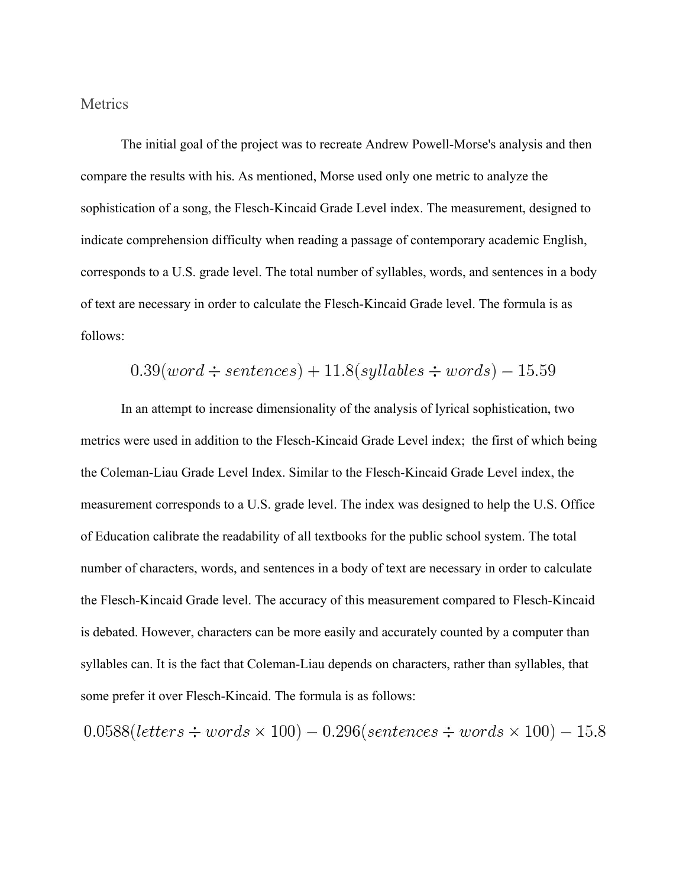#### <span id="page-10-0"></span>**Metrics**

The initial goal of the project was to recreate Andrew Powell-Morse's analysis and then compare the results with his. As mentioned, Morse used only one metric to analyze the sophistication of a song, the Flesch-Kincaid Grade Level index. The measurement, designed to indicate comprehension difficulty when reading a passage of contemporary academic English, corresponds to a U.S. grade level. The total number of syllables, words, and sentences in a body of text are necessary in order to calculate the Flesch-Kincaid Grade level. The formula is as follows:

$$
0.39(word \div sentences) + 11.8(syllables \div words) - 15.59
$$

In an attempt to increase dimensionality of the analysis of lyrical sophistication, two metrics were used in addition to the Flesch-Kincaid Grade Level index; the first of which being the Coleman-Liau Grade Level Index. Similar to the Flesch-Kincaid Grade Level index, the measurement corresponds to a U.S. grade level. The index was designed to help the U.S. Office of Education calibrate the readability of all textbooks for the public school system. The total number of characters, words, and sentences in a body of text are necessary in order to calculate the Flesch-Kincaid Grade level. The accuracy of this measurement compared to Flesch-Kincaid is debated. However, characters can be more easily and accurately counted by a computer than syllables can. It is the fact that Coleman-Liau depends on characters, rather than syllables, that some prefer it over Flesch-Kincaid. The formula is as follows:

$$
0.0588(letters \div words \times 100) - 0.296(sentences \div words \times 100) - 15.8
$$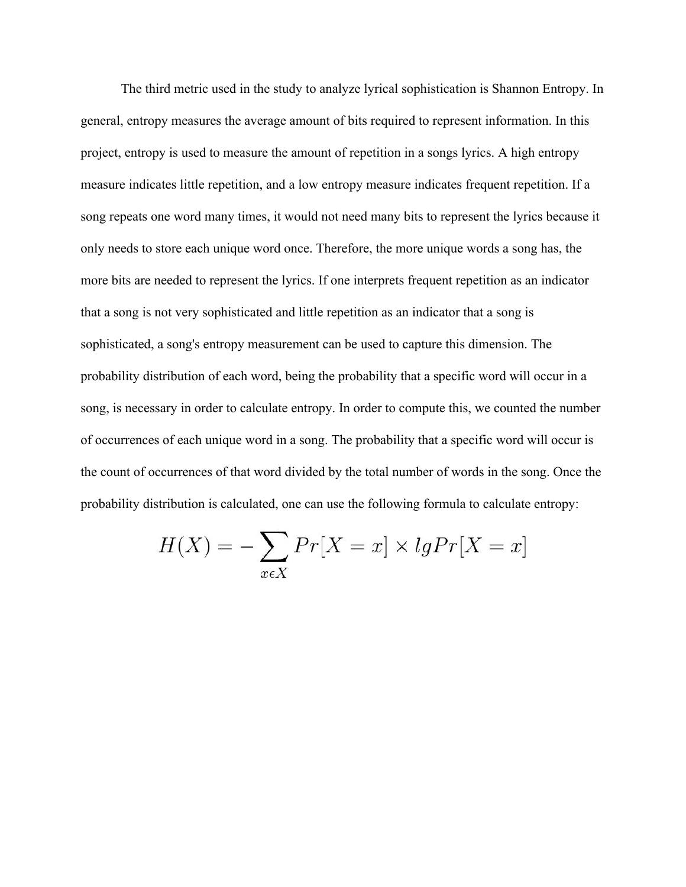The third metric used in the study to analyze lyrical sophistication is Shannon Entropy. In general, entropy measures the average amount of bits required to represent information. In this project, entropy is used to measure the amount of repetition in a songs lyrics. A high entropy measure indicates little repetition, and a low entropy measure indicates frequent repetition. If a song repeats one word many times, it would not need many bits to represent the lyrics because it only needs to store each unique word once. Therefore, the more unique words a song has, the more bits are needed to represent the lyrics. If one interprets frequent repetition as an indicator that a song is not very sophisticated and little repetition as an indicator that a song is sophisticated, a song's entropy measurement can be used to capture this dimension. The probability distribution of each word, being the probability that a specific word will occur in a song, is necessary in order to calculate entropy. In order to compute this, we counted the number of occurrences of each unique word in a song. The probability that a specific word will occur is the count of occurrences of that word divided by the total number of words in the song. Once the probability distribution is calculated, one can use the following formula to calculate entropy:

$$
H(X) = -\sum_{x \in X} Pr[X = x] \times lgPr[X = x]
$$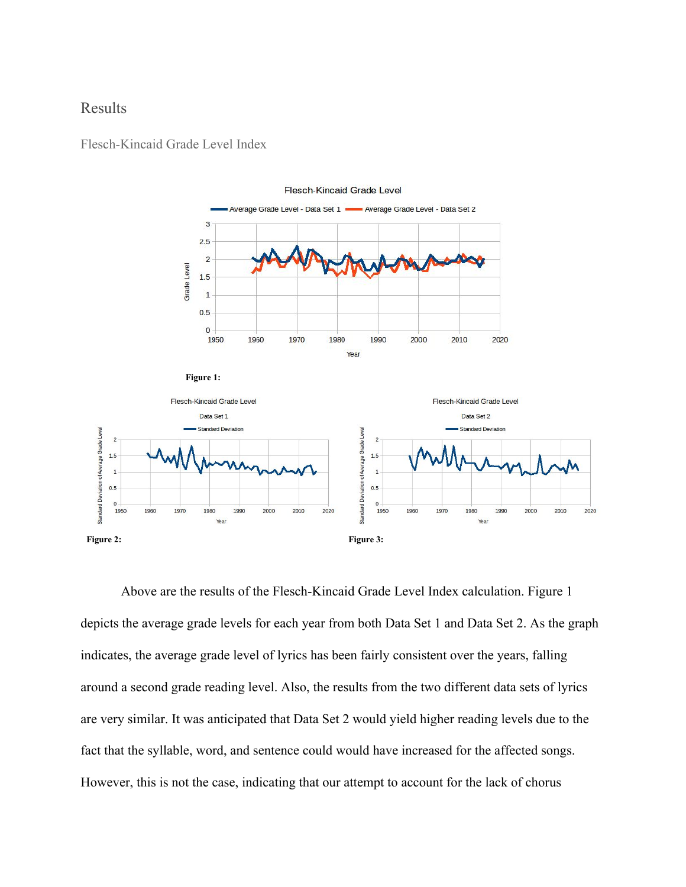## <span id="page-12-0"></span>Results



**Flesch-Kincaid Grade Level** 

<span id="page-12-1"></span>Flesch-Kincaid Grade Level Index



Above are the results of the Flesch-Kincaid Grade Level Index calculation. Figure 1 depicts the average grade levels for each year from both Data Set 1 and Data Set 2. As the graph indicates, the average grade level of lyrics has been fairly consistent over the years, falling around a second grade reading level. Also, the results from the two different data sets of lyrics are very similar. It was anticipated that Data Set 2 would yield higher reading levels due to the fact that the syllable, word, and sentence could would have increased for the affected songs. However, this is not the case, indicating that our attempt to account for the lack of chorus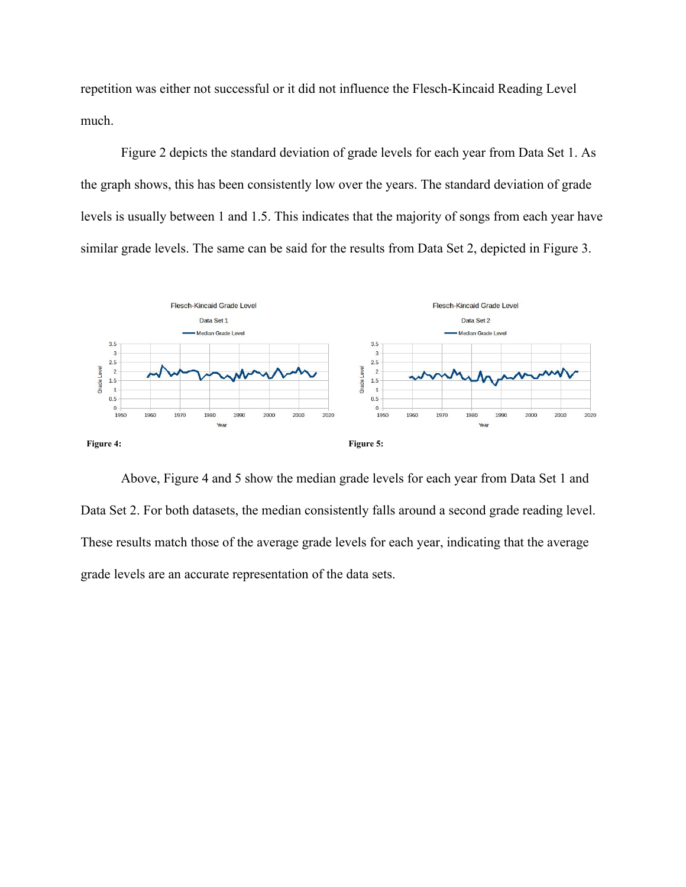repetition was either not successful or it did not influence the Flesch-Kincaid Reading Level much.

Figure 2 depicts the standard deviation of grade levels for each year from Data Set 1. As the graph shows, this has been consistently low over the years. The standard deviation of grade levels is usually between 1 and 1.5. This indicates that the majority of songs from each year have similar grade levels. The same can be said for the results from Data Set 2, depicted in Figure 3.



Above, Figure 4 and 5 show the median grade levels for each year from Data Set 1 and Data Set 2. For both datasets, the median consistently falls around a second grade reading level. These results match those of the average grade levels for each year, indicating that the average grade levels are an accurate representation of the data sets.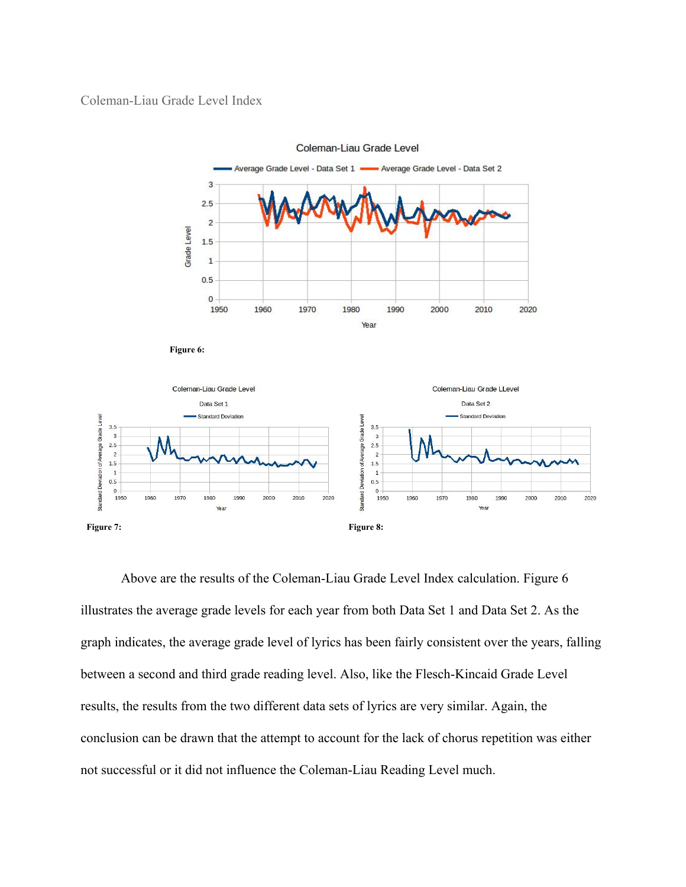### <span id="page-14-0"></span>Coleman-Liau Grade Level Index



**Coleman-Liau Grade Level** 

Above are the results of the Coleman-Liau Grade Level Index calculation. Figure 6 illustrates the average grade levels for each year from both Data Set 1 and Data Set 2. As the graph indicates, the average grade level of lyrics has been fairly consistent over the years, falling between a second and third grade reading level. Also, like the Flesch-Kincaid Grade Level results, the results from the two different data sets of lyrics are very similar. Again, the conclusion can be drawn that the attempt to account for the lack of chorus repetition was either not successful or it did not influence the Coleman-Liau Reading Level much.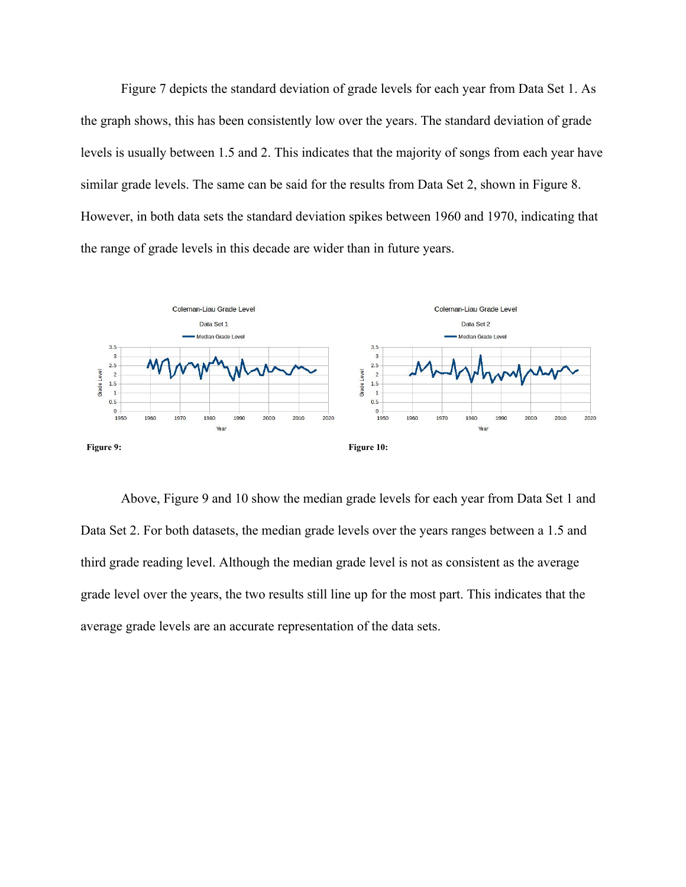Figure 7 depicts the standard deviation of grade levels for each year from Data Set 1. As the graph shows, this has been consistently low over the years. The standard deviation of grade levels is usually between 1.5 and 2. This indicates that the majority of songs from each year have similar grade levels. The same can be said for the results from Data Set 2, shown in Figure 8. However, in both data sets the standard deviation spikes between 1960 and 1970, indicating that the range of grade levels in this decade are wider than in future years.



Above, Figure 9 and 10 show the median grade levels for each year from Data Set 1 and Data Set 2. For both datasets, the median grade levels over the years ranges between a 1.5 and third grade reading level. Although the median grade level is not as consistent as the average grade level over the years, the two results still line up for the most part. This indicates that the average grade levels are an accurate representation of the data sets.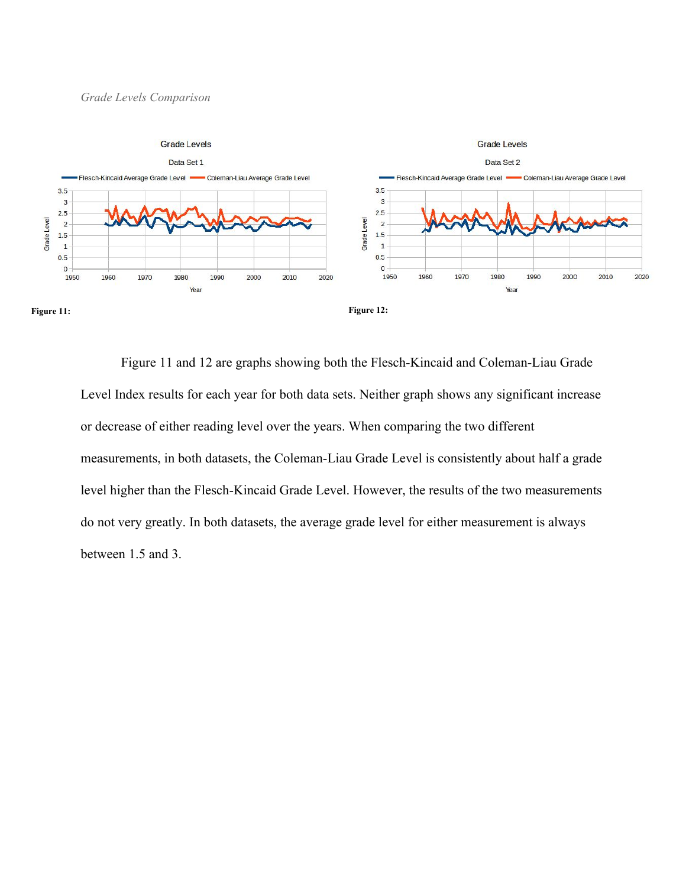#### <span id="page-16-0"></span>*Grade Levels Comparison*



Figure 11 and 12 are graphs showing both the Flesch-Kincaid and Coleman-Liau Grade Level Index results for each year for both data sets. Neither graph shows any significant increase or decrease of either reading level over the years. When comparing the two different measurements, in both datasets, the Coleman-Liau Grade Level is consistently about half a grade level higher than the Flesch-Kincaid Grade Level. However, the results of the two measurements do not very greatly. In both datasets, the average grade level for either measurement is always between 1.5 and 3.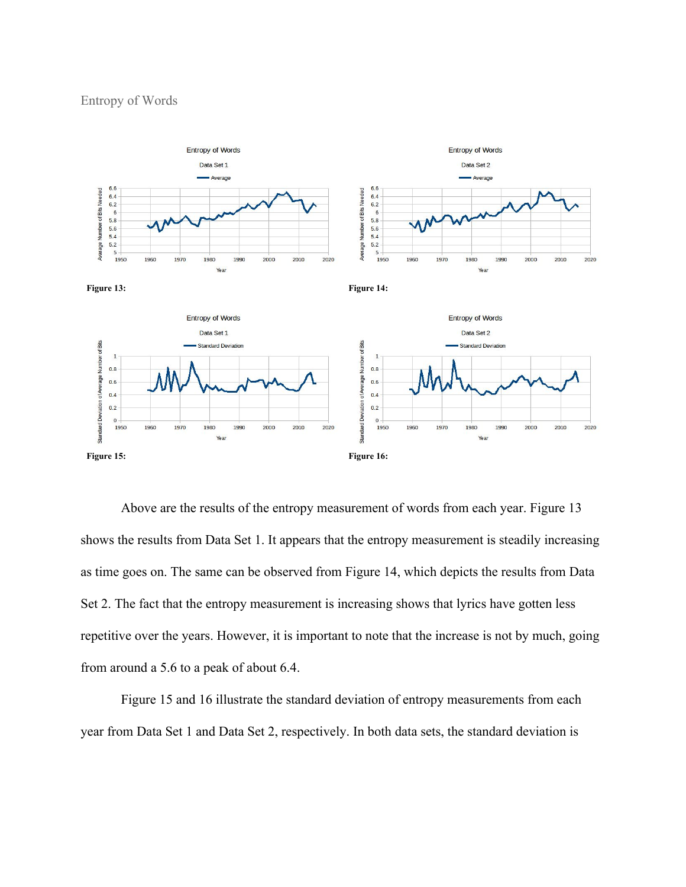#### <span id="page-17-0"></span>Entropy of Words



Above are the results of the entropy measurement of words from each year. Figure 13 shows the results from Data Set 1. It appears that the entropy measurement is steadily increasing as time goes on. The same can be observed from Figure 14, which depicts the results from Data Set 2. The fact that the entropy measurement is increasing shows that lyrics have gotten less repetitive over the years. However, it is important to note that the increase is not by much, going from around a 5.6 to a peak of about 6.4.

Figure 15 and 16 illustrate the standard deviation of entropy measurements from each year from Data Set 1 and Data Set 2, respectively. In both data sets, the standard deviation is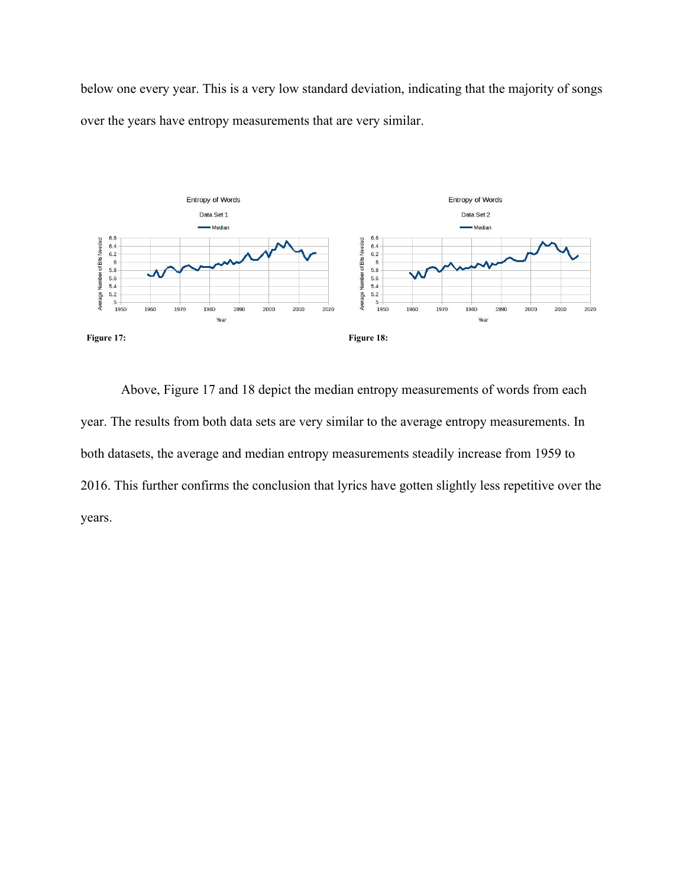below one every year. This is a very low standard deviation, indicating that the majority of songs over the years have entropy measurements that are very similar.



Above, Figure 17 and 18 depict the median entropy measurements of words from each year. The results from both data sets are very similar to the average entropy measurements. In both datasets, the average and median entropy measurements steadily increase from 1959 to 2016. This further confirms the conclusion that lyrics have gotten slightly less repetitive over the years.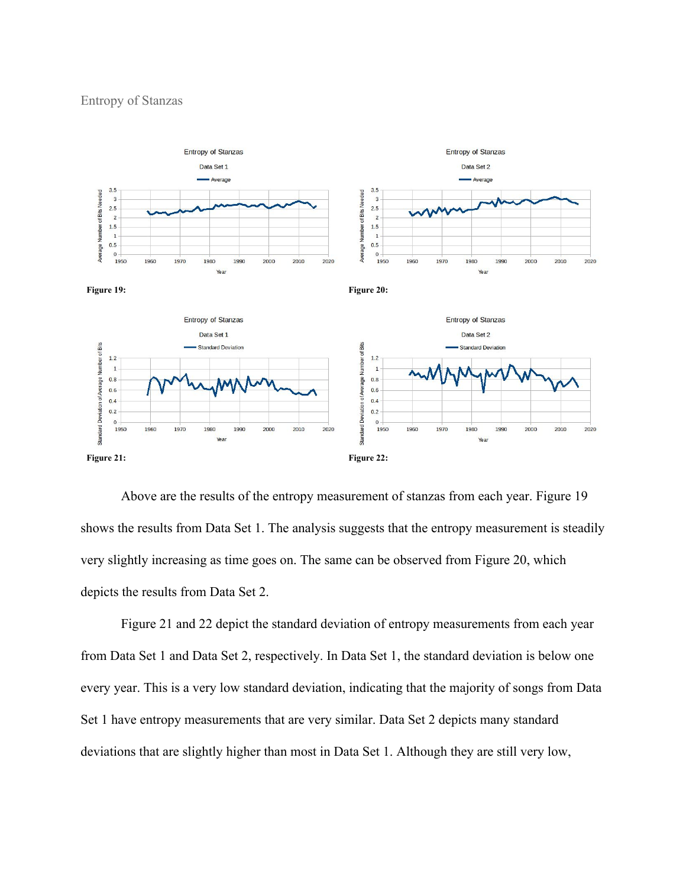<span id="page-19-0"></span>

Above are the results of the entropy measurement of stanzas from each year. Figure 19 shows the results from Data Set 1. The analysis suggests that the entropy measurement is steadily very slightly increasing as time goes on. The same can be observed from Figure 20, which depicts the results from Data Set 2.

Figure 21 and 22 depict the standard deviation of entropy measurements from each year from Data Set 1 and Data Set 2, respectively. In Data Set 1, the standard deviation is below one every year. This is a very low standard deviation, indicating that the majority of songs from Data Set 1 have entropy measurements that are very similar. Data Set 2 depicts many standard deviations that are slightly higher than most in Data Set 1. Although they are still very low,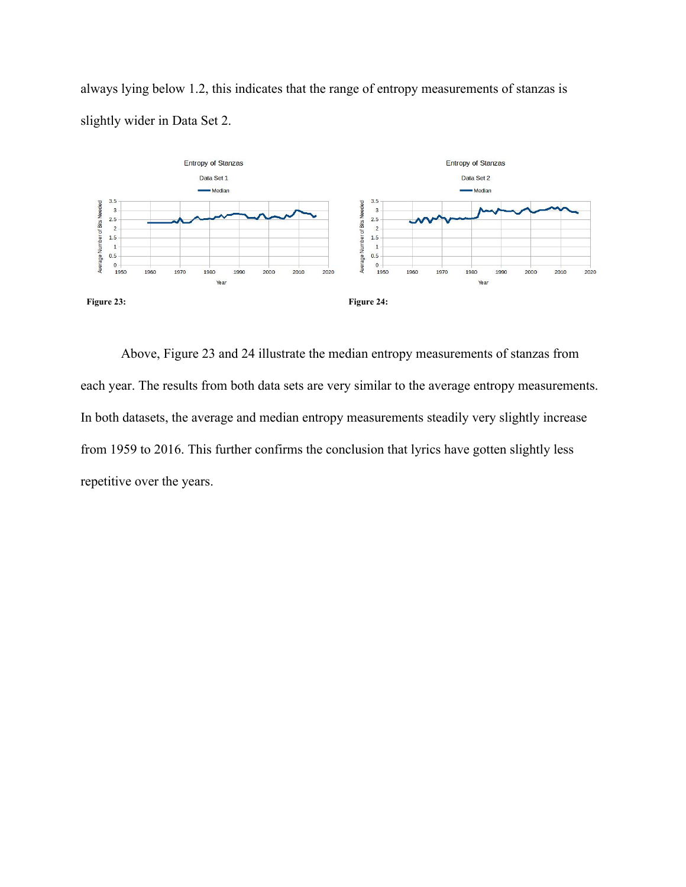

always lying below 1.2, this indicates that the range of entropy measurements of stanzas is slightly wider in Data Set 2.

**Figure 23: Figure 24:**

Above, Figure 23 and 24 illustrate the median entropy measurements of stanzas from each year. The results from both data sets are very similar to the average entropy measurements. In both datasets, the average and median entropy measurements steadily very slightly increase from 1959 to 2016. This further confirms the conclusion that lyrics have gotten slightly less repetitive over the years.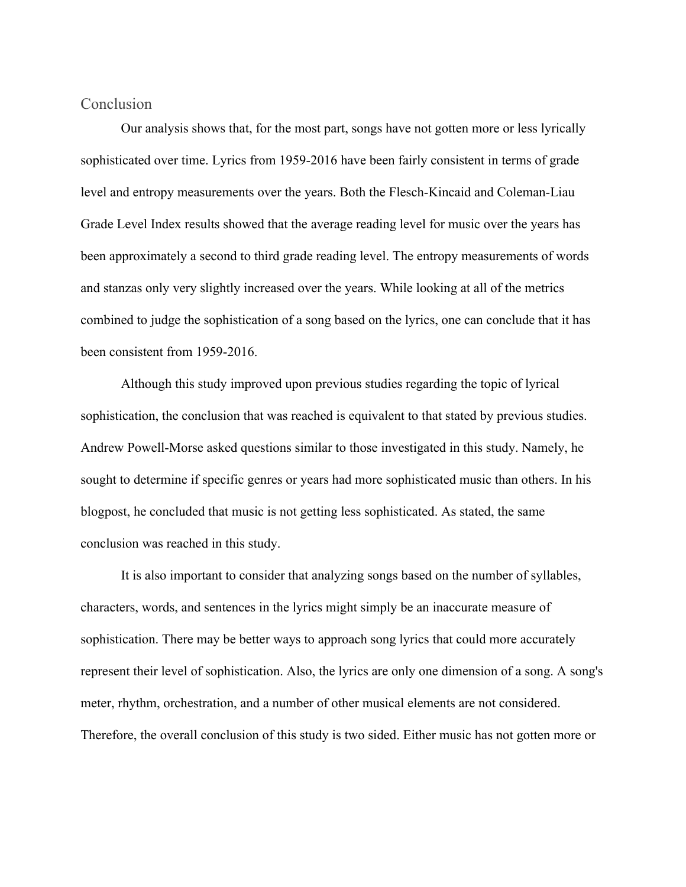### <span id="page-21-0"></span>Conclusion

Our analysis shows that, for the most part, songs have not gotten more or less lyrically sophisticated over time. Lyrics from 1959-2016 have been fairly consistent in terms of grade level and entropy measurements over the years. Both the Flesch-Kincaid and Coleman-Liau Grade Level Index results showed that the average reading level for music over the years has been approximately a second to third grade reading level. The entropy measurements of words and stanzas only very slightly increased over the years. While looking at all of the metrics combined to judge the sophistication of a song based on the lyrics, one can conclude that it has been consistent from 1959-2016.

Although this study improved upon previous studies regarding the topic of lyrical sophistication, the conclusion that was reached is equivalent to that stated by previous studies. Andrew Powell-Morse asked questions similar to those investigated in this study. Namely, he sought to determine if specific genres or years had more sophisticated music than others. In his blogpost, he concluded that music is not getting less sophisticated. As stated, the same conclusion was reached in this study.

It is also important to consider that analyzing songs based on the number of syllables, characters, words, and sentences in the lyrics might simply be an inaccurate measure of sophistication. There may be better ways to approach song lyrics that could more accurately represent their level of sophistication. Also, the lyrics are only one dimension of a song. A song's meter, rhythm, orchestration, and a number of other musical elements are not considered. Therefore, the overall conclusion of this study is two sided. Either music has not gotten more or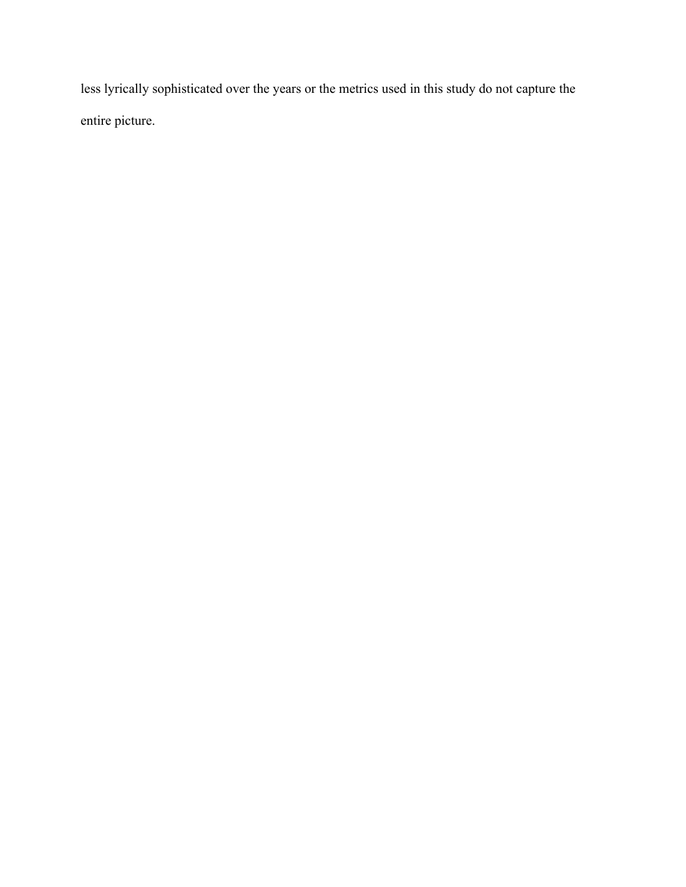less lyrically sophisticated over the years or the metrics used in this study do not capture the entire picture.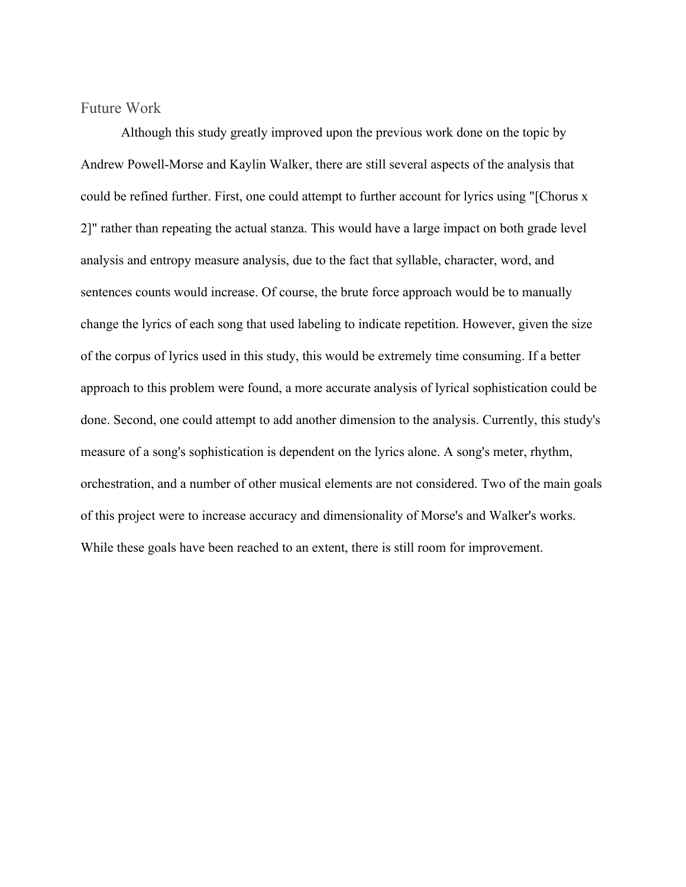<span id="page-23-0"></span>Future Work

Although this study greatly improved upon the previous work done on the topic by Andrew Powell-Morse and Kaylin Walker, there are still several aspects of the analysis that could be refined further. First, one could attempt to further account for lyrics using "[Chorus x 2]" rather than repeating the actual stanza. This would have a large impact on both grade level analysis and entropy measure analysis, due to the fact that syllable, character, word, and sentences counts would increase. Of course, the brute force approach would be to manually change the lyrics of each song that used labeling to indicate repetition. However, given the size of the corpus of lyrics used in this study, this would be extremely time consuming. If a better approach to this problem were found, a more accurate analysis of lyrical sophistication could be done. Second, one could attempt to add another dimension to the analysis. Currently, this study's measure of a song's sophistication is dependent on the lyrics alone. A song's meter, rhythm, orchestration, and a number of other musical elements are not considered. Two of the main goals of this project were to increase accuracy and dimensionality of Morse's and Walker's works. While these goals have been reached to an extent, there is still room for improvement.